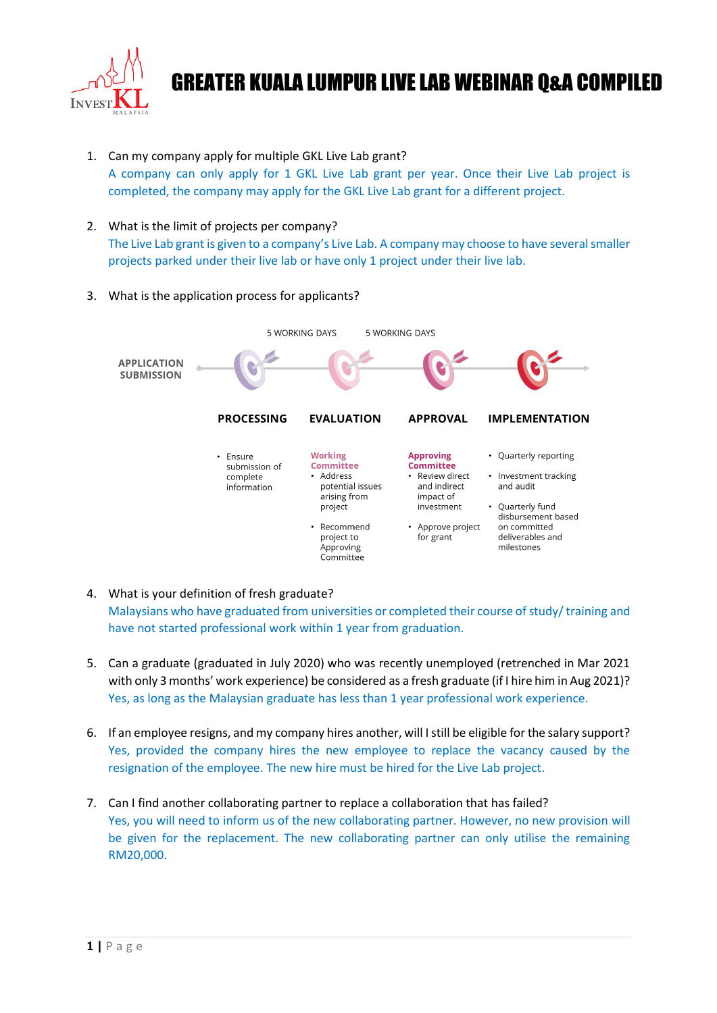

- 1. Can my company apply for multiple GKL Live Lab grant? A company can only apply for 1 GKL Live Lab grant per year. Once their Live Lab project is completed, the company may apply for the GKL Live Lab grant for a different project.
- 2. What is the limit of projects per company? The Live Lab grant is given to a company's Live Lab. A company may choose to have several smaller projects parked under their live lab or have only 1 project under their live lab.
- 3. What is the application process for applicants?



- 4. What is your definition of fresh graduate? Malaysians who have graduated from universities or completed their course of study/ training and have not started professional work within 1 year from graduation.
- 5. Can a graduate (graduated in July 2020) who was recently unemployed (retrenched in Mar 2021 with only 3 months' work experience) be considered as a fresh graduate (if I hire him in Aug 2021)? Yes, as long as the Malaysian graduate has less than 1 year professional work experience.
- 6. If an employee resigns, and my company hires another, will I still be eligible for the salary support? Yes, provided the company hires the new employee to replace the vacancy caused by the resignation of the employee. The new hire must be hired for the Live Lab project.
- 7. Can I find another collaborating partner to replace a collaboration that has failed? Yes, you will need to inform us of the new collaborating partner. However, no new provision will be given for the replacement. The new collaborating partner can only utilise the remaining RM20,000.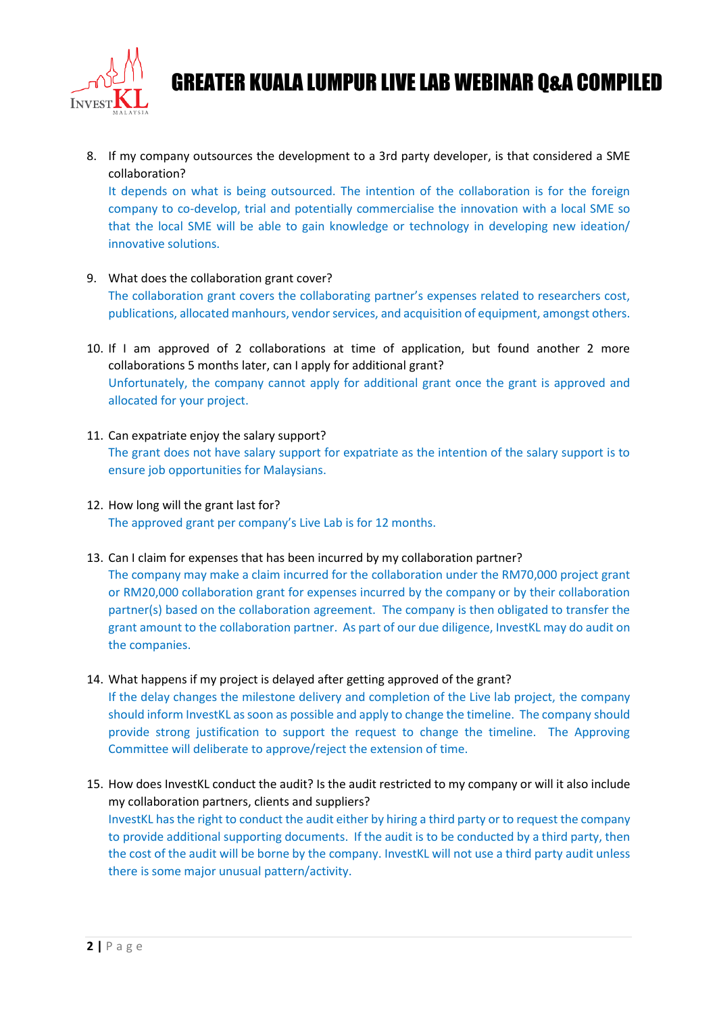

8. If my company outsources the development to a 3rd party developer, is that considered a SME collaboration?

It depends on what is being outsourced. The intention of the collaboration is for the foreign company to co-develop, trial and potentially commercialise the innovation with a local SME so that the local SME will be able to gain knowledge or technology in developing new ideation/ innovative solutions.

- 9. What does the collaboration grant cover? The collaboration grant covers the collaborating partner's expenses related to researchers cost, publications, allocated manhours, vendor services, and acquisition of equipment, amongst others.
- 10. If I am approved of 2 collaborations at time of application, but found another 2 more collaborations 5 months later, can I apply for additional grant? Unfortunately, the company cannot apply for additional grant once the grant is approved and allocated for your project.
- 11. Can expatriate enjoy the salary support? The grant does not have salary support for expatriate as the intention of the salary support is to ensure job opportunities for Malaysians.
- 12. How long will the grant last for? The approved grant per company's Live Lab is for 12 months.
- 13. Can I claim for expenses that has been incurred by my collaboration partner?

Committee will deliberate to approve/reject the extension of time.

The company may make a claim incurred for the collaboration under the RM70,000 project grant or RM20,000 collaboration grant for expenses incurred by the company or by their collaboration partner(s) based on the collaboration agreement. The company is then obligated to transfer the grant amount to the collaboration partner. As part of our due diligence, InvestKL may do audit on the companies.

- 14. What happens if my project is delayed after getting approved of the grant? If the delay changes the milestone delivery and completion of the Live lab project, the company should inform InvestKL as soon as possible and apply to change the timeline. The company should provide strong justification to support the request to change the timeline. The Approving
- 15. How does InvestKL conduct the audit? Is the audit restricted to my company or will it also include my collaboration partners, clients and suppliers? InvestKL has the right to conduct the audit either by hiring a third party or to request the company to provide additional supporting documents. If the audit is to be conducted by a third party, then the cost of the audit will be borne by the company. InvestKL will not use a third party audit unless there is some major unusual pattern/activity.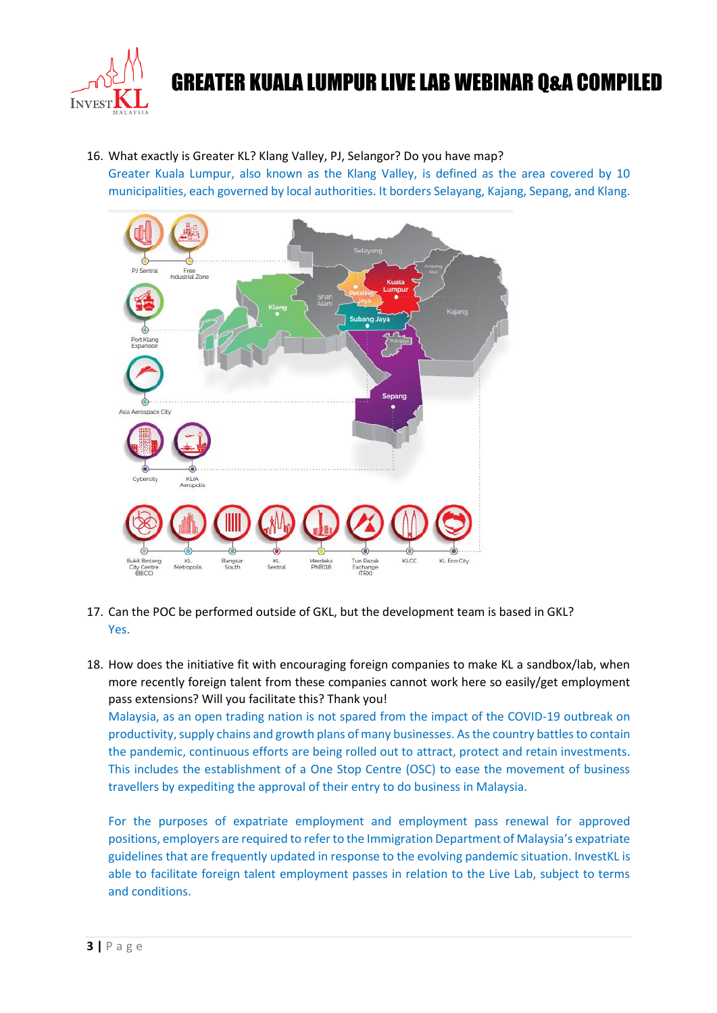

16. What exactly is Greater KL? Klang Valley, PJ, Selangor? Do you have map?

Greater Kuala Lumpur, also known as the Klang Valley, is defined as the area covered by 10 municipalities, each governed by local authorities. It borders Selayang, Kajang, Sepang, and Klang.



- 17. Can the POC be performed outside of GKL, but the development team is based in GKL? Yes.
- 18. How does the initiative fit with encouraging foreign companies to make KL a sandbox/lab, when more recently foreign talent from these companies cannot work here so easily/get employment pass extensions? Will you facilitate this? Thank you!

Malaysia, as an open trading nation is not spared from the impact of the COVID-19 outbreak on productivity, supply chains and growth plans of many businesses. As the country battles to contain the pandemic, continuous efforts are being rolled out to attract, protect and retain investments. This includes the establishment of a One Stop Centre (OSC) to ease the movement of business travellers by expediting the approval of their entry to do business in Malaysia.

For the purposes of expatriate employment and employment pass renewal for approved positions, employers are required to refer to the Immigration Department of Malaysia's expatriate guidelines that are frequently updated in response to the evolving pandemic situation. InvestKL is able to facilitate foreign talent employment passes in relation to the Live Lab, subject to terms and conditions.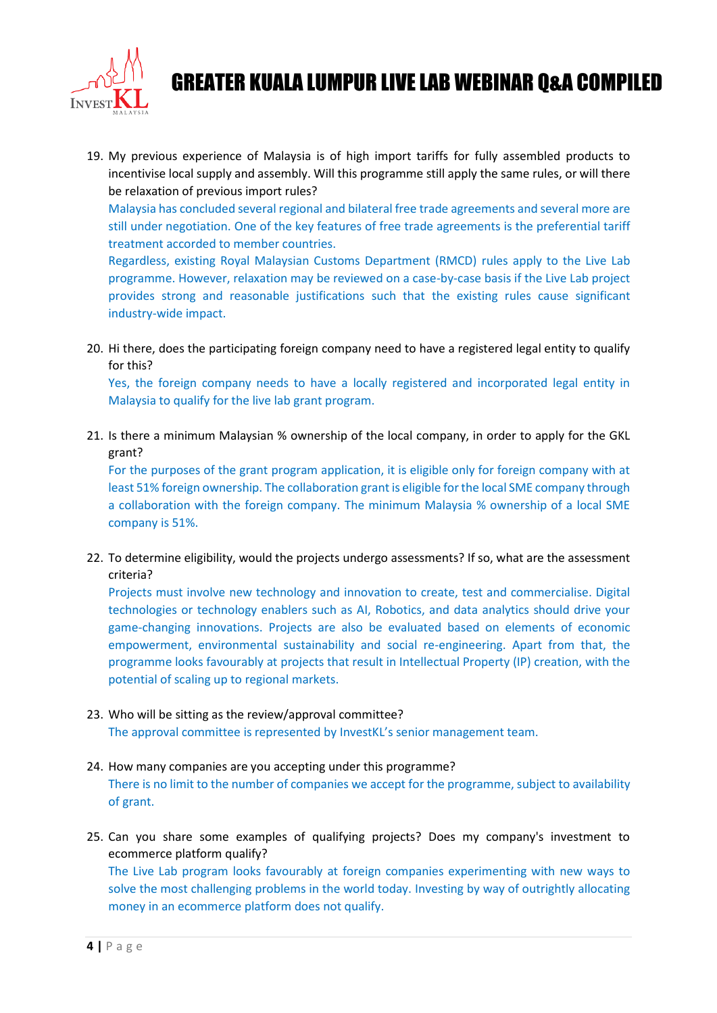

19. My previous experience of Malaysia is of high import tariffs for fully assembled products to incentivise local supply and assembly. Will this programme still apply the same rules, or will there be relaxation of previous import rules?

Malaysia has concluded several regional and bilateral free trade agreements and several more are still under negotiation. One of the key features of free trade agreements is the preferential tariff treatment accorded to member countries.

Regardless, existing Royal Malaysian Customs Department (RMCD) rules apply to the Live Lab programme. However, relaxation may be reviewed on a case-by-case basis if the Live Lab project provides strong and reasonable justifications such that the existing rules cause significant industry-wide impact.

20. Hi there, does the participating foreign company need to have a registered legal entity to qualify for this?

Yes, the foreign company needs to have a locally registered and incorporated legal entity in Malaysia to qualify for the live lab grant program.

21. Is there a minimum Malaysian % ownership of the local company, in order to apply for the GKL grant?

For the purposes of the grant program application, it is eligible only for foreign company with at least 51% foreign ownership. The collaboration grant is eligible for the local SME company through a collaboration with the foreign company. The minimum Malaysia % ownership of a local SME company is 51%.

22. To determine eligibility, would the projects undergo assessments? If so, what are the assessment criteria?

Projects must involve new technology and innovation to create, test and commercialise. Digital technologies or technology enablers such as AI, Robotics, and data analytics should drive your game-changing innovations. Projects are also be evaluated based on elements of economic empowerment, environmental sustainability and social re-engineering. Apart from that, the programme looks favourably at projects that result in Intellectual Property (IP) creation, with the potential of scaling up to regional markets.

- 23. Who will be sitting as the review/approval committee? The approval committee is represented by InvestKL's senior management team.
- 24. How many companies are you accepting under this programme? There is no limit to the number of companies we accept for the programme, subject to availability of grant.
- 25. Can you share some examples of qualifying projects? Does my company's investment to ecommerce platform qualify? The Live Lab program looks favourably at foreign companies experimenting with new ways to solve the most challenging problems in the world today. Investing by way of outrightly allocating money in an ecommerce platform does not qualify.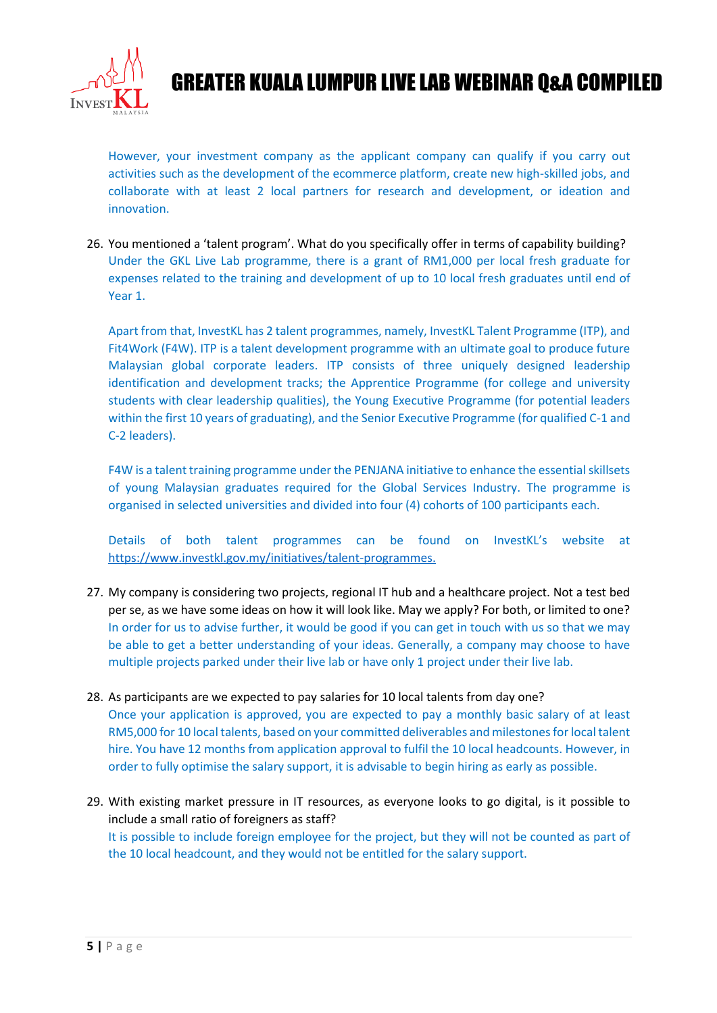

However, your investment company as the applicant company can qualify if you carry out activities such as the development of the ecommerce platform, create new high-skilled jobs, and collaborate with at least 2 local partners for research and development, or ideation and innovation.

26. You mentioned a 'talent program'. What do you specifically offer in terms of capability building? Under the GKL Live Lab programme, there is a grant of RM1,000 per local fresh graduate for expenses related to the training and development of up to 10 local fresh graduates until end of Year 1.

Apart from that, InvestKL has 2 talent programmes, namely, InvestKL Talent Programme (ITP), and Fit4Work (F4W). ITP is a talent development programme with an ultimate goal to produce future Malaysian global corporate leaders. ITP consists of three uniquely designed leadership identification and development tracks; the Apprentice Programme (for college and university students with clear leadership qualities), the Young Executive Programme (for potential leaders within the first 10 years of graduating), and the Senior Executive Programme (for qualified C-1 and C-2 leaders).

F4W is a talent training programme under the PENJANA initiative to enhance the essential skillsets of young Malaysian graduates required for the Global Services Industry. The programme is organised in selected universities and divided into four (4) cohorts of 100 participants each.

Details of both talent programmes can be found on InvestKL's website at [https://www.investkl.gov.my/initiatives/talent-programmes.](https://www.investkl.gov.my/initiatives/talent-programmes)

- 27. My company is considering two projects, regional IT hub and a healthcare project. Not a test bed per se, as we have some ideas on how it will look like. May we apply? For both, or limited to one? In order for us to advise further, it would be good if you can get in touch with us so that we may be able to get a better understanding of your ideas. Generally, a company may choose to have multiple projects parked under their live lab or have only 1 project under their live lab.
- 28. As participants are we expected to pay salaries for 10 local talents from day one? Once your application is approved, you are expected to pay a monthly basic salary of at least RM5,000 for 10 local talents, based on your committed deliverables and milestones for local talent hire. You have 12 months from application approval to fulfil the 10 local headcounts. However, in order to fully optimise the salary support, it is advisable to begin hiring as early as possible.
- 29. With existing market pressure in IT resources, as everyone looks to go digital, is it possible to include a small ratio of foreigners as staff? It is possible to include foreign employee for the project, but they will not be counted as part of the 10 local headcount, and they would not be entitled for the salary support.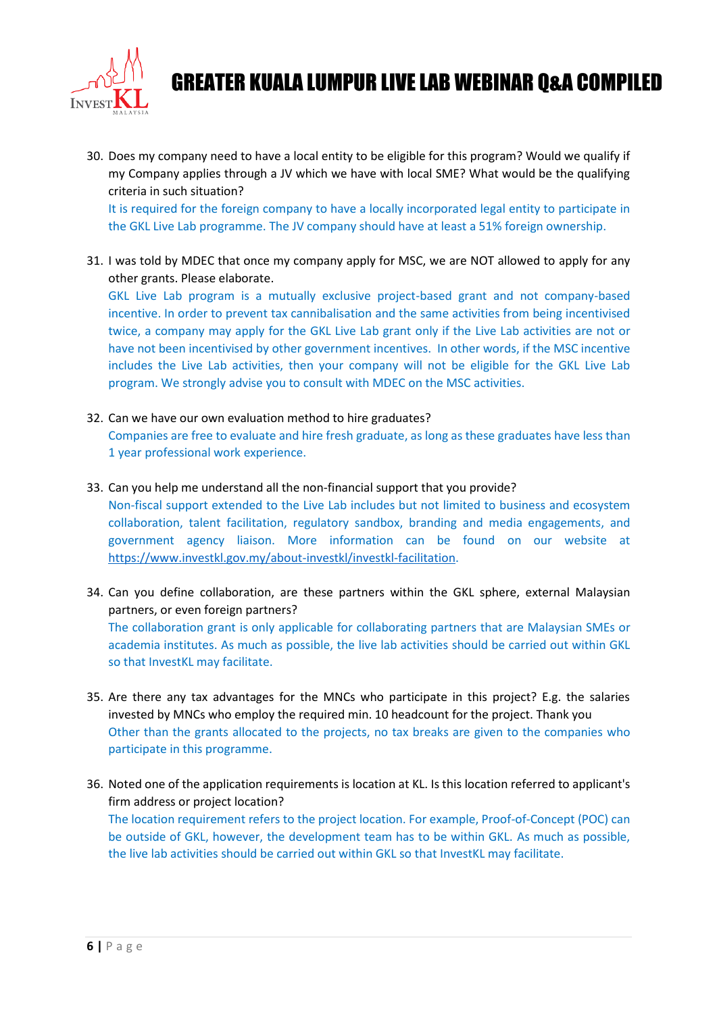

30. Does my company need to have a local entity to be eligible for this program? Would we qualify if my Company applies through a JV which we have with local SME? What would be the qualifying criteria in such situation?

It is required for the foreign company to have a locally incorporated legal entity to participate in the GKL Live Lab programme. The JV company should have at least a 51% foreign ownership.

31. I was told by MDEC that once my company apply for MSC, we are NOT allowed to apply for any other grants. Please elaborate.

GKL Live Lab program is a mutually exclusive project-based grant and not company-based incentive. In order to prevent tax cannibalisation and the same activities from being incentivised twice, a company may apply for the GKL Live Lab grant only if the Live Lab activities are not or have not been incentivised by other government incentives. In other words, if the MSC incentive includes the Live Lab activities, then your company will not be eligible for the GKL Live Lab program. We strongly advise you to consult with MDEC on the MSC activities.

- 32. Can we have our own evaluation method to hire graduates? Companies are free to evaluate and hire fresh graduate, as long as these graduates have less than 1 year professional work experience.
- 33. Can you help me understand all the non-financial support that you provide? Non-fiscal support extended to the Live Lab includes but not limited to business and ecosystem collaboration, talent facilitation, regulatory sandbox, branding and media engagements, and
- government agency liaison. More information can be found on our website at [https://www.investkl.gov.my/about-investkl/investkl-facilitation.](https://www.investkl.gov.my/about-investkl/investkl-facilitation)
- 34. Can you define collaboration, are these partners within the GKL sphere, external Malaysian partners, or even foreign partners? The collaboration grant is only applicable for collaborating partners that are Malaysian SMEs or academia institutes. As much as possible, the live lab activities should be carried out within GKL so that InvestKL may facilitate.
- 35. Are there any tax advantages for the MNCs who participate in this project? E.g. the salaries invested by MNCs who employ the required min. 10 headcount for the project. Thank you Other than the grants allocated to the projects, no tax breaks are given to the companies who participate in this programme.
- 36. Noted one of the application requirements is location at KL. Is this location referred to applicant's firm address or project location? The location requirement refers to the project location. For example, Proof-of-Concept (POC) can be outside of GKL, however, the development team has to be within GKL. As much as possible, the live lab activities should be carried out within GKL so that InvestKL may facilitate.